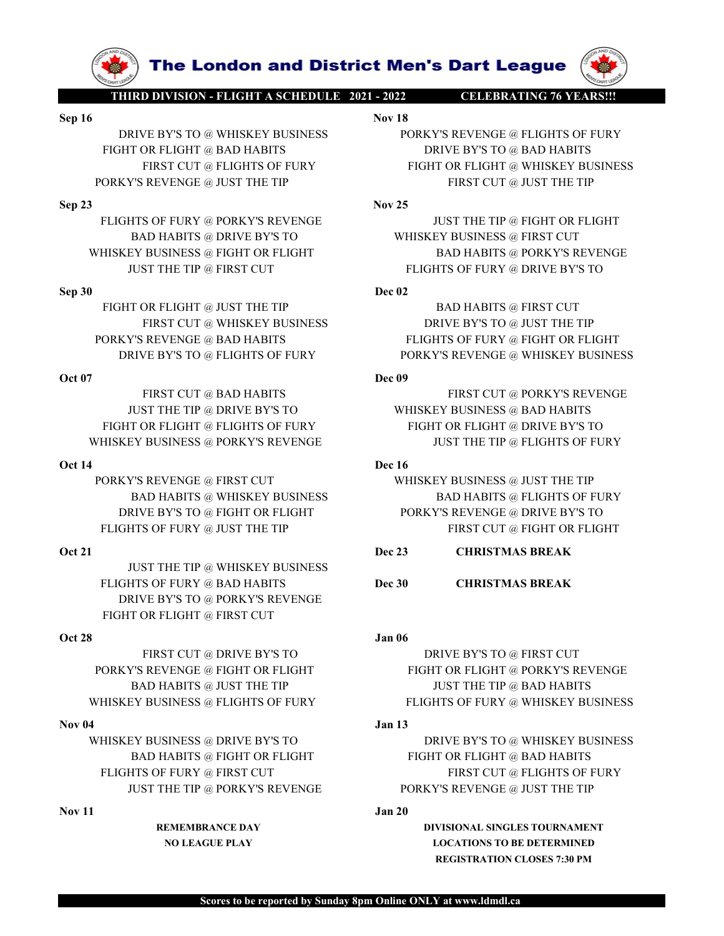WHISKEY BUSINESS @ PORT BUSINESS **DORY STATE TO FLIGHTS OF FURY**<br>
FIRST CUT @ HAD HABITS<br>
PORKYS REVENGE @ JUST THE TIP<br> **SAD HABITS**<br> **PORKYS REVENGE @ JUST THE TIP**<br> **SAD HABITS**<br> **NORT THE TIP AND FAIST CUT**<br> **NORT THE ERSECUTE (FIGHT SOFTENT WEIGHT OR FURT CUTE BAD HABITS<br>
SEP 23<br>
FIGHT SOFTENE (FIGHT SOFTENE THE TIP<br>
BORKYS REVENGE (FIGHT SOFTENE THE SOFTENT OR FURT SOFTENT OR FURT SOFTENT OR FURT OR FURT OR FURT OR FURT OR FURT OF T** 

JUST THE TIP @ WHISKEY BUSINESS DRIVE BY'S TO @ PORKY'S REVENGE FIGHT OR FLIGHT @ FIRST CUT THE THE ONE ENTY OR FLIGHT OR FLIGHTS OF FURY WHISKEY BUSINESS @ FLORENCE PRICHAT PRESENT OR FLIGHTS OF FURY FLIGHTS OF FURY WHISKEY BUSINESS @ NORKY'S REVENGE PORTY'S REVENGE OR THE TIP AND HABITS OF FURY WHISKEY BUSINES

FIGHT OR FLIGHT @ FLIGHTS OF FURY<br>
OR 14<br>
NEISSEY BUSINESS @ PORKY'S REVENGE<br>
OR 14<br>
PORKY'S REVENGE (IRST CUT<br>
PORKY'S REVENGE (IRST CUT<br>
BAD HABITS @ WHISKEY DUSINESS<br>
IN THE TIP RESERVENCE @ DRIVE BYS TO<br>
INCHENS OF FU WHISKEY BUSINESS @ PORKY'S REVENGE<br>
PORKY'S REVENGE @ ITRST CUT<br>
BAD HABITS @ WHISKEY BUSINESS & DATE THE TIP<br>
BAD HABITS @ WHISKEY BUSINESS<br>
ELIGHTS OF FURY @ BIGHT OR FLIGHT<br>
IGST THE TIP @ WHISKEY BUSINESS<br>
IGST THE TIP NOVE BY'S TO @ FIGHT OR FLIGHT<br>
OR 21<br>
NOT 21<br>
NOT CHECHTS OF FURY @ JUST THE TIP<br>
NOT 21<br>
NOT 21<br>
NOT 21<br>
INSTITUTE TO @ NHISTSEY BUSINESS<br>
FLIGHTS OF FURY @ BAD HABITS<br>
DREVE BYS TO @ PORKY'S REVENGE<br>
FIGHT OR FLIGHTS OF

The London and District Men's Dart League<br>
THIRD DIVISION - FLIGHT A SCHEDULE 2021 - 2022<br>
DRIVE BYS TO @ WHISKEY BUSINESS<br>
IGHT OR FLIGHT @ BAD HABITS<br>
FIRST CUT @ FLIGHTS OF FURY<br>
FIGHT OR FLIGHT @ WHISKEY BUSINESS<br>
FIGH **Sep 16**<br> **Sep 16**<br> **Sep 16**<br> **SEP 16**<br> **SEP 16**<br> **SEP 16**<br> **SEP 16**<br> **SEP 16**<br> **SEP 16**<br> **SEP 16**<br> **SEP 16**<br> **SEP 16**<br> **SEP 16**<br> **SEP 16**<br> **SEP 16**<br> **SEP 16**<br> **SEP 16**<br> **SEP 16**<br> **SEP 16**<br> **SEP 16**<br> **SEP 16**<br> **SEP 16**<br> **S The London and District Men's Dart League (WARRATING 76 YEARS!!!)**<br>
DRIVE BY'S TO @ WHISKEY BUSINESS PORKY'S REVENGE @ FLIGHTS OF FURY<br>
HIT OR FLIGHT @ BAD HABITS PORKY'S REVENGE @ FLIGHTS OF FURY<br>
FIRST CUT @ FLIGHTS OF **FIGHT OR FUGHT ASCHEDULE 2021-2022**<br>
THIRD DIVISION - FLIGHT A SCHEDULE 2021-2022<br>
DRIVE BY'S TO @ WHISKEY BUSINESS<br>
FIGHT OR FLIGHT @ BAD HABITS<br>
FIRST CUT @ FLIGHTS OF FURY<br>
ORKY'S REVENGE @ JUST THE TIP<br>
NOV 25<br>
FLIGHT **The London and District Men's Dart League (W)**<br> **DINISION-FLIGHT A SCHEDULE 2021-2022** CELEBRATING 76 VEARSH.<br>
NOT IS<br>
TOR FLIGHT @ BAD HABITS<br>
FIRST CUT @ FLIGHTS OF FURY PIGHT OR FLIGHT @ WHISKEY BUSINESS<br>
REVENGE @ JU **PORKY'S REVENGE @ JUST THE TIP AND HABITS @ DRIVE BYS TO WHISKEY BUSINESS**<br>
PORKY'S REVENGE @ FLIGHTS OF FURY<br>
FIGHT OR FLIGHT @ BAD HABITS<br>
FIRST CUT @ FLIGHTS OF FURY<br>
PORKY'S REVENGE @ JUST THE TIP<br>
FLIGHTS OF FURY @ P **SEP 33**<br>
FIRED DENSITY OF THE TIP © FIGHT OR FUGHT OR PUGET OR FUGHT OR FUGHT OR PUGET OF THE TIP OF THE TIP OF THE TH<br>
SEP 23<br>
FIGHT OR FUGHT OR PUGET OF DERATION FIRE TO THE TIP OF THE TIP OF THE TIP OR FUGHT OR PUGET O **FRIGHTS OF FURY @ REVENGE 2013**<br>
FRIGHT OF FUGHT OF FURY SEVENCE AND HABITS<br>
FIGHT OR FUGHT @ BAD HABITS<br>
FIGHT OR FUGHT @ BAD HABITS<br>
FIGHT OR FUGHT OF FURY WE DIST THE TIP<br>
FIGHT OR FURY CUGHTS OF FURY WE BAD THE TIP<br> **FOR EXECUT AND HABITS @ DRIVE BY'S TO WHISKEY BUSINESS**<br>
BAD HABITS TO WHISKEY BUSINESS **DRIVE BY'S TO WHISKEY BUSINESS**<br>
TOR FLIGHT @ BAD HABITS<br>
FREE CUT @ FLIGHTS OF FURY<br>
FREE CUT @ FLIGHTS OF FURY<br>
FREE CUT @ FORY S **EXAMPLE SEE AND HABITS (FRIGHT OR FLIGHT BAD HABITS (FRIGHT OR FLIGHT BAD HABITS PRIVE BYS TO @ MHSKEY BUSINESS PORKY'S REVENGE @ FLIGHTS OF FURY<br>
PRIXT OR FLIGHT OR FLIGHT OR FLIGHT OR FLIGHT OR FLIGHT AND HABITS<br>
PORKY' The London and District Men's Dart League (W)**<br>
IRODIVISION-BEIGHT ASCHEDULE 2022<br>
Nov IS<br>
NOV IS<br>
FORKYS REVENGE @ FLIGHTS OF FURY<br>
FRIGHT @ RAD HABITS<br>
FRIGHT @ RAD HABITS FURY ENSIST OF FURY ANDENTS<br>
FRIGHT @ DRIVE BY Sep 16<br>
THEODIVE DRIVE BYS TO @ WHISKEY BUSINESS<br>
SEP 16<br>
DRIVE BYS TO @ WHISKEY BUSINESS<br>
TRIST CUT @ RIGHTS OF FURY<br>
TRIST CUT @ RIGHTS OF FURY<br>
TRIST CUT @ THIGHTS OF FURY<br>
TRIST CUT @ THIGHTS OF FURY<br>
FRIST CUT @ DEC 0 **FIGHT OR FLIGHT @ INST THE TIP**<br>
FIGHT OR FLIGHT @ INVESTOR PURY<br>
FIGHT OR FLIGHT @ INDIRENTS OF FURY<br>
FIGHT OR FLIGHT @ JUST THE TIP<br>
FIGHT OR FLIGHT @ JUST THE TIP<br>
FIGHT OR FLIGHT @ JUST THE TIP<br>
ELGINTS OF FURY @ PORK **The London and District Men's Dart League (WARD ANIXON THE THE DRIVER'S REVENGE & PLIGHTS OF FURY AND HABITS OF FURY AND DRIVE BYS TO @ JUST THE TIP BLOWS TO BAD HABITS (PRESERVENGE AND HABITS AND HABITS (PRESERVENGE AND PORKY'S REVENGE @ BAD HABITS PORKY'S REVENGE WERE CUT AND HABITS FRIST CUT @ RUGHTS OF FURY BUSINESS FRIST CUT @ REVENGE @ FIGHT OR FLIGHTS OF FURY @ FAST CUT AND HABITS FLIGHTS OF FURY AND HABITS FRIST CUT AND HABITS AN The London and District Men's Dart League (WARD BUSINESS**<br>
DRIVE BY'S TO @ WHISKEY BUSINESS<br>
NOW IS<br>
THE TOR EIGHT @ BAD HABITS OF FURY PORKY'S REVENGE @ WHISKEY BUSINESS<br>
FRIST CUT @ ELGHTS OF FURY PORKY'S REVENGE @ WHI SECULAR SERVENGE AND HABITS OF URE TO WHISKEY BUSINESS<br>
SEP 16 DRIVE BYS TO @ WHISKEY BUSINESS<br>
FOR THE TOR FLIGHTS OF FURY<br>
FOR THE TOR FLIGHTS OF FURY<br>
FOR THE TOR FLIGHTS OF FURY<br>
FOR THE TOP (BUSINES REVIEWER (FIGHT OR THE THE GRAD HABITS TELECT WAS REVENGE (STATIST CUT @ BAD HABITS FIRST CUT @ BAD HABITS FIRST CUT @ ELGITED TO THE TIP OF CURVING FIRST CUT (STATIST CUT @ PORT CUT (STATIST) AND HABITS FIRST CUT ON FLORID BAD HABITS (STATI JUST THE TIP @ DRIVE BY'S TO WHISKEY BUSINESS @ BAD HABITS EXERCISE TO WHISKEY BUSINESS<br>
FIGHT OR FLIGHTS OF FURY DRIVE BYS TO GRAD HABITS OF FURY<br>
FIGHT OR ELGENTS OF FURY FIGHT OF FURY FIGHT OR FLIGHT OR FLIGHTS OF FURY @ DRIVE BYS TO FIGHT OR FLIGHT AND HABITS © DRIVE BY'S TO

PORKY'S REVENGE @ PORKY'S REVENGE @ FIRST CUT @ ROB THE TIP<br>
PLOGHTS OF FURV @ PORKY'S REVENGE<br>
HAD HABITS @ THEST CUT<br>
HISKEY BUSINESS @ FIGHT OR FLIGHT<br>
HISKEY BUSINESS @ FIGHT OR FLIGHT<br>
FIGHT OR FLIGHT @ JUST THE TIP<br> FIS OF FURY @ PORKY'S REVENGE<br>
BAD HABITS @ DRIVE BYS TO<br>
EVERTIFY BAD HABITS @ FIRST CUT<br>
TOR FLIGHT @ JUST THE TIP<br>
DEAN FRIENCE OF FURY TO FURY WELL AS DEVELONS A PORKY'S REVENGE<br>
EINST CUT @ MHISKEY BUSINESS<br>
FIRST CU GHTS OF FURY @ PORKY'S REVENGE<br>
EXAMPLEME TO RELIGHT ON FLIGHT OR FLIGHT OR FLIGHT OR EVALUE BY'S TO WHISKEY BUSINESS @ FIGHT OR FLIGHT<br>
TOR FLIGHT @ JUST THE TIP<br>
THE TIP @ FIRST CUT<br>
THE TIP @ FIRST CUT<br>
THE TIP @ FIRST FLIGHTS OF THE THE QUARELY BUSINESS (AND HABITS OF THE THE PIRST CUT<br>
FIRST OF THE TIP BOTHABITS OF FURY CONTROL TO THE TIP BAD HABITS ON THE TIP DESCRIPTION PURY SURVER AND THE TIP DESCRIPTION FIRST CUT<br>
FIRST CUT QUARE T WHISKEY BUSINESS @ FIGHT OR ELGER PORKY'S REVENGE<br> **SEP 30**<br>
FIGHT OR ELGER PORT THE TIP<br>
PRECIDENT @ JUST THE TIP<br>
PRECIDENT @ JUST THE TIP<br>
PORKYS REVENGE @ BAD HABITS<br>
PORKYS REVENGE @ BAD HABITS<br>
DRIVE BYS TO @ FILGHTS FIGHT OR FLIGHT @ UST THE TIP<br>
FIRST CUT @ NAD HABITS DEVICE WEST TO REVENUE OF THE TIP<br>
DRIVE RYS TO @ JUST THE TIP<br>
DRIVE RYS TO @ FLIGHTS OF FURY<br>
DUTHE THE TIP @ DRIVE BYS TO @ FLIGHTS OF FURY<br>
IUST THE TIP @ DRIVE BY PORKY'S REVENGE @ BAD HABITS<br>
Oct 07<br>
DEVE BY'S TO @ ELIGHTS OF PURY<br>
TERST CUT @ BAD HABITS<br>
OCT 07 BAD HABITS<br>
DEVE BYS TO THE THE OR PURY BY BUSINESS @ BAD HABITS<br>
PORT OR ELIGHTS OF PURY<br>
NURSEY BUSINESS @ BAD HABITS<br> FIRST CUT  $W$ <br>
FIRST CUT @ BAD HABITS<br>
FIRST CUT @ DRIVE BY'S TO<br>
BUSINESS @ PORKY'S REVENGE<br>
BUSINESS @ PORKY'S REVENGE<br>
BUSINESS @ PORKY'S REVENGE<br>
BUSINESS @ PORKY'S REVENGE<br>
INSTITUTE THE ORD HABITS @ THIST CUT<br>
AD HAB **PORKY'S REVENGE @ FRAT CUT @ BAD HABITS**<br>
PUST THE TIP @ DRIVE BY'S TO<br>
PUSEEY BUSINESS @ BAD HABITS<br>
FIGHT OR FLIGHT @ FLIGHTS OF FURY<br>
PUSEEY BUSINESS @ PORKY'S REVENGE<br>
PORKY'S REVENGE @ FIRST CUT<br>
BAD HABITS @ WHISKE FIRST CUT @ HAD HABITS<br>
UST THE TIP @ DRIVE HYS TO RELIGHTS @ HAD HABITS @ HAD HABITS @ JUST THE TO BELIGHTS OF FURY<br>
SEVENGE @ FIRST CUT<br>
BAD HABITS @ FORKYS REVENGE<br>
SEVENGE @ FIRST CUT<br>
BAD HABITS @ WIST THE TIP & FLIG

**EVERT OF SUPPER AND THE TREAT CUT AND THE TREAT CUT OF FURY SUPPER AND HABITS @ FURY SUPPER TO A FIGHT OR FLIGHT OR FLIGHT OR FLIGHT OR FLIGHT OR FLIGHT OR FLIGHT OR FLIGHT OR FLIGHT OR FLIGHT OR FLIGHT OR FLIGHT OR FLIG** ENERGY REVENGE @ FIRST CUT<br>
BAD HABITS © WHISKEY BUSINESS © JUST THE TIP<br>
PREVENTS OF FURY BUSINESS TO FURY AND HABITS OF FURY @ JUST THE TIP<br>
FLIGHTS OF FURY @ JUST THE TIP<br>
IUST THE TIP @ WHISKEY BUSINESS<br>
FLIGHTS OF FUR JUST THE THE PURST CUT  $\phi$  PRINCIPS (WILSKEY BUSINESS<br>
RAD HABITS @ PIGHT OR FLIGHT<br>
HATS OF FURY @ JUST THE TIP<br>
JUST THE TIP @ WHISKEY BUSINESS<br>
Dec 33<br>
CHRISTMAS BREAK<br>
HUST THE TIP @ WHISKEY BUSINESS<br>
Dec 33<br>
CHRISTM EVENT ® JUST THE TIP<br>
THE TIP ® WHISKEY BUSINESS<br>
PEURY ® BAD HABITS<br>
PEURY ® BAD HABITS<br>
PEURY ® BAD HABITS<br>
PEURY ® BAD HABITS<br>
ELGHT ® FREST CUT<br>
ELGHT ® FREST CUT<br>
FLOHT ® FREST CUT<br>
HABITS ® JUST THE TIP<br>
HABITS ® JU NE TIP @ WHISKEY BUSINESS<br>
NO CHRISTMAS BREAK<br>
NO PURE BYS TO BOOKY'S REVENGE<br>
NO CHRISTMAS BREAK<br>
NO PURE PRIST CUT<br>
NO DRIVE BY'S TO BUSINESS OF FIGHT OR FLIGHT<br>
NO DRIVE BY'S TO BUSINESS (PLAYER TO BE DETERMINED BY STOR

REGISTRATION CLOSES 7:30 PM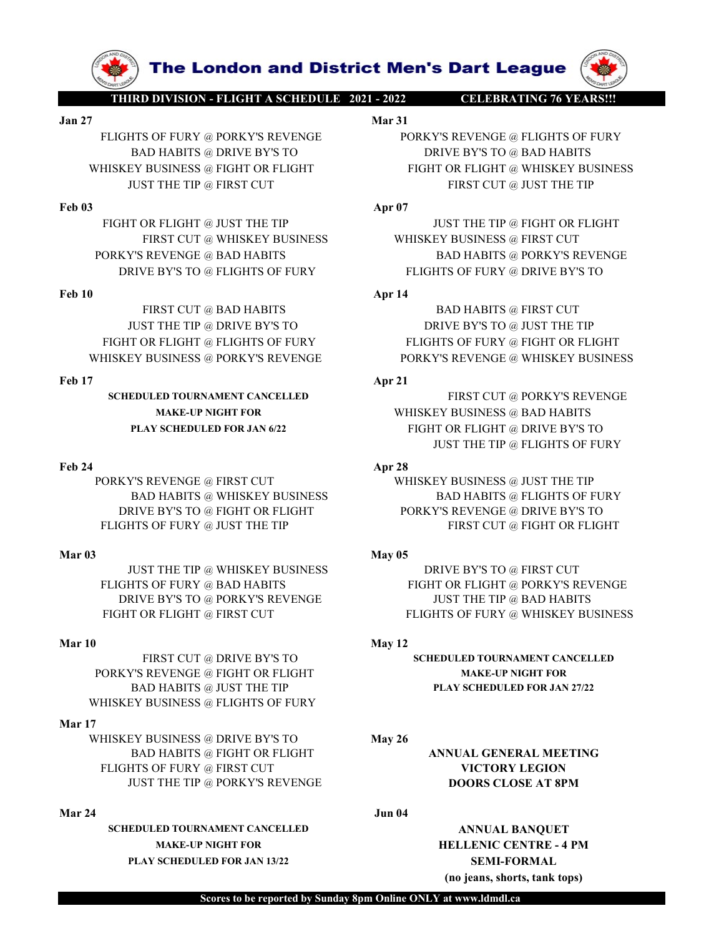

WHISKEY BUSINESS @ FIGHT OR FLIGHT FOR FIRST CUT @ UST THE TIP  $\frac{1}{2}$  PORKY'S REVENGE @ BAD HABITS<br>
Feb 03 FIGHT OR THIGHT OR FURT THE TIP  $\frac{1}{2}$  PORKY'S REVENGE @ BAD HABITS<br>
FREST CUT @ WHISKEY BUSINESS **WHISKEY B** PORKY'S REVENGE @ FIRST CUT WHISKEY BUSINESS @ JUST THE TIP

PORKY'S REVENGE @ BAD HABITS<br>
NET CUT @ BAD HABITS<br>
THE TIP @ BAD HABITS<br>
THE TIP @ BAD HABITS<br>
THE TIP @ BAD HABITS<br>
THE TIP @ BAD HABITS<br>
THE TIP @ BAD HABITS<br>
THE TIP @ BAD HABITS<br>
THE TIP @ BAD HABITS<br>
THE TIP @ BAD H

PORKY'S REVENGE @ FIGHT OR FLIGHT MAKE-UP NIGHT FOR WHISKEY BUSINESS @ FLIGHTS OF FURY

# Mar 17

WHISKEY BUSINESS @ DRIVE BY'S TO May 26 BAD HABITS @ FIGHT OR FLIGHT ANNUAL GENERAL MEETING FLIGHTS OF FURY @ FIRST CUT VICTORY LEGION JUST THE TIP @ PORKY'S REVENGE **DOORS CLOSE AT 8PM** PRIVE BYSTO @ FIGHT FOR ELGHTS OF FURT RESPONSE @ DRIVE BY STO AND HABITS<br>
Mar 04<br>
Mar 04<br>
MST THE TIP @ WHISKEY BUSINESS<br>
THE TIP OR VEHICLE TO PERENT CUT<br>
THE TIP OR NEW BY STO AD HABITS<br>
PRIVE BYSTO @ PORKYS REVENGE<br>
F

SCHEDULED TOURNAMENT CANCELLED ANNUAL BANQUET MAKE-UP NIGHT FOR **HELLENIC CENTRE - 4 PM** PLAY SCHEDULED FOR JAN 13/22 SEMI-FORMAL

The London and District Men's Dart League<br>
THIRD DIVISION - FLIGHT A SCHEDULE 2021 - 2022<br>
Mar 31<br>
Mar 31<br>
BAD HABITS @ DRIVE BY'S TO DRIVE BY'S TO @ BAD HABITS<br>
SKEY BUSINESS @ FIGHT OR FLIGHT FIGHT OR FLIGHT @ WHISKEY BU **The London and District Men's Dart League**<br>
THIRD DIVISION - FLIGHT ASCHEDULE 2021 - 2022<br>
Jan 27<br>
FLIGHTS OF FURY @ PORKY'S REVENGE<br>
BAD HABITS @ DRIVE BY'S TO<br>
WHISKEY BUSINESS @ FIGHT OR FLIGHT FIGHT OR FLIGHT @ WHISKE **FRIGHTS OF FURY @ PORKY'S REVENGE PORKY'S REVENGE PORKY'S REVENGE PORKY'S REVENGE PORKY'S REVENGE @ FLIGHTS OF FURY PORKY'S REVENGE @ FLIGHTS OF FURY PORKY'S REVENGE @ FLIGHTS OF FURY PORKY'S REVENGE @ FLIGHTS OF FURY PO EXECUTE ADMOND THE CONDUCT OF URIT ASCHEDULE 2021 - 2022**<br> **BAD HABITS @ DRIVE BY'S REVENGE**<br>
BAD HABITS @ DRIVE BY'S TO<br>
BAD HABITS @ DRIVE BY'S TO<br>
EXECUTE BY BUSINESS @ FIGHT OR FLIGHT<br>
UST THE TIP @ FIRST CUT<br>
TOR FL **EXAMPLE 10 IN A THE PRESERVE CONSUMISED A THE PRESERVING OF EAST CUT OF ELGHT OR FLIGHT OR FLIGHT CONSUMISKEY BUSINESS @ FIGHT OR FLIGHT & VERT CUT OR FLIGHT**  $\frac{PQ}{PQ}$  **and**  $\frac{PQ}{PQ}$  **and**  $\frac{PQ}{PQ}$  **and**  $\frac{PQ}{PQ}$  **an The London and District Men's Dart League (W)**<br>
HERDDIVISION-FLIGHT ASCHEDULE 2021-2022 CELEBRATING 76 YEARS!!<br>
HER OF FURY @ PORKY'S REVENGE BAD HABITS<br>
BAD HABITS @ DRIVE BY'S TO DRIVE BY'S TO DRIVE BY'S TO BAD HABITS<br> **FREE CONTROLLER CONTRACT AND HARDES (SEE AND HARDES CONTRACT AND HARDES CONTRACT AND HARD SUPPORT OF FURY SUPPORT OF FURY SUPPORT OF FURY BUSINESS (SEE ALTHOLD FIGHT OF FURY BUSINESS (SEE ALTHOLD FIGHT OF FURY BUSINESS (S FIGHT OR FURT OR FURT OF FURT OF FURT OF FURT OF FURT OR FLIGHTS OF FURT OR FLIGHT OR FLIGHT OR FLIGHT OR FLIGHT OR FLIGHT OR FLIGHT OR FLIGHT OR FLIGHT OR FLIGHT OR FLIGHT OR FLIGHT OR FLIGHT OR FLIGHT OR FLIGHT OR FLIG The London and District Men's Dart League (WARE ASSESS ARE ASSESS WHEN A SOFTURY @ PORKYS REVENGE MANUSE WERE**  $\frac{M}{2}$  **DRIVE BYS TO**  $\frac{M}{2}$  **DRIVE BYS TO**  $\frac{M}{2}$  **DRIVE BYS TO**  $\frac{M}{2}$  **DRIVE BYS TO**  $\frac{M}{2}$  **DRIVE BY PORKY'S REVENGE @ BAD HABITS**<br>
PORKY'S REVENGE @ FLIGHTS OF PURY<br>
BAD HABITS @ DRIVE BY'S TO BAD HABITS BAD HABITS @ DRIVE BY'S TO @ BAD HABITS<br>
MHISKEY BUSINESS @ FIGHT OR FLIGHT @ FIGHT OR FLIGHT @ FIGHT OR FLIGHT @ FI **The London and District Men's Dart League (W)**<br> **ERRIVENCE BY AN 1992**<br>
BAD HABITS @ PORKYS REVENGE  $P(X|Y)$  BY BUSINESS (REVERIGE BY TO BRIVE BY TO BAD HABITS<br>
BAD HABITS (UTE BY TO PURY BY BUSINESS OF FURY COMPUTER THE **EXERCISE THE THE APPROXIMATE SCHOOL SERVICE SERVICE SERVICE SERVICE THE PRIME IN A PRIME IN A PRIME IN A PRIME IN A PRIME IN A PRIME IN A PRIME IN A PRIME IN A PRIME IN A PRIME IN A PRIME IN A PRIME IN A PRIME IN A PRIME The London and District Men's Dart League (WARD ADMISION FRIGHT ASCHEDULE 2012**<br>
SO FURY @ PORKYS REVENGE (PORTYS REVENGE @ FLIGHTS OF FURY<br>
AD HABITS @ DRIVE BYS TO DRIVE BYS TO @ BAD HABITS<br>
BUSINESS @ FIGHT OR FLIGHT **The London and District Men's Dart League (WARD AND THE TIP @ DRIVE BYSORYS REVENGE & PLACINTS OF FURY AND MANDE<br>
HAD MANIS & DRIVE BYS TO DRIVE BY TO BAND HANDES AND HADITS AND HANDES AND HADIT TO RELIGHT & USIT THE TIP FIGHT OR FURY AND HABITS OF FURY AND HABITS OF FURY AND FLOHTS OF FURY AND HABITS OF FURY AND HABITS OF FURY AND HABITS OF FURY AND HABITS OF FURY FLIGHT OR FLIGHT OR FLIGHT OR FLIGHT OR FLIGHT OR FLIGHT OR FLIGHT OR FLI THE LOND AND DIStrict Men's Dart League (W)**<br>
THIRDDIVISION-HIGHT ASCHEDULE 2021<br>
BAD RASH SPATYS REVENGE @ FLIGHTS OF FURY<br>
BAD RASH SPATYS REVENGE PORKYS REVENGE @ FLIGHTS OF FURY<br>
WHISKEY BUSINESS @ ROGET OR FLIGHT<br>
P **FIRED INVERSE PROFILE AND HABITS**<br>
FIGHTS OF FURY 46 PORKY'S REVENGE **NATALLY AND HABITS**<br>
FIGHTS OF FURY 46 PORKY'S REVENGE<br> **EVALUATION**<br> **EVALUATION**<br> **EVALUATION**<br> **EVALUATION**<br> **EVALUATION**<br> **EVALUATION**<br> **EVALUATIO** 

TOR FLIGHT @ NEW THE TIP<br>
FIRST CUT @ WHISKEY BUSINESS BAD HABITS @ FIGHT OR FLIGHT SEVENCE @ BAD HABITS **APT 14**<br>
FIRST CUT @ BAD HABITS **APT 14**<br>
FIRST CUT @ BAD HABITS **APT 14**<br>
FIRST CUT @ BAD HABITS **APT 14**<br>
FIRST C BY ORTHER TO WHISKEY BUSINESS<br>
ERST CUT @ WHISKEY BUSINESS<br>
NEW PACK (SEAD HABITS
TRIST CUT @ HAGHER OF FURY<br>
PRIST CUT @ HAGHER OF FURY<br>
FIGHT OR FLIGHT OF FLIGHT SOFTAINS OF TURY<br>
THE TTP @ DRIVE BYS TO<br>
DRIVE BYS TO BA FIGHT OF ELIGHTS OF EUR THE TIP THE TIP (ISIT THE TIP (ISIT THE TIP OF THE TIP OR AND HABITS OF FURY SEVENGE OR THE TIP THE TIP ON THE TIP TO THE TIP TO THE TIP TO THE TIP TO THE TIP TO THE TIP TO THE TIP TO THE TIP ON TH

SCHEDULED TOURNAMENT CANCELLED FIRST CUT @ PORKY'S REVENGE MAKE-UP NIGHT FOR WHISKEY BUSINESS @ BAD HABITS PLAY SCHEDULED FOR JAN 6/22 FIGHT OR FLIGHT @ DRIVE BY'S TO JUST THE TIP @ FLIGHTS OF FURY RIVE BY'S TO @ FLIGHTS OF FURY<br>
FIRST CUT @ BAD HABITS **Apr 14**<br>
JUST THE TIP @ DRIVE BY'S TO **DRIVE BY'S TO @ JUST THE TIP**<br>
TO RELGHTS OF FURY PLIGHTS OF FURY CORELLED<br>
TO RELGHTS OF TURE TO RELGHT OR FLIGHTS OF THE TIP<br> **FRIST CUT @ BAD HABITS**<br>
FURST CUT @ BAD HABITS OF FURY<br>
FURT OR FLIGHTS OF FURY PORT BYS TO @ JUST THE TIP<br>
FIGHT OR FLIGHTS OF FURY PORKY'S REVENGE<br>
INKERY BUSINESS @ PORKY'S REVENGE<br> **SCHEDULED FORKYS REVENGE**<br> **SCHED** FIRST CUT @ BAD HABITS **APT**<br> **BAD HABITS** APT BE THE TIP HIT ON ELGENT SO FOR THE TIP HAT ON ELGENT SO FUST THE THE AREASS TO MAKE-UP AND HABITS OF PURY GEORET SO FURNISHES AND HABITS OF PURY SEVENGE MAKE-UP NORTHAND FOR FIRST CUT @ HAD HABITS<br>
FIGHT OR FLIGHT @ FLIGHTS OF FURY FIGHT OR FLIGHT OR FLIGHT OR FLIGHT OR FURY SEVENGE<br>
FIGHT OR FLIGHT @ FLIGHTS OF FURY PORKY'S REVENGE @ WHISKEY BUSINESS @ PORKY'S REVENGE<br>
MAKE-UP NIGHT OR LANDE EGHT OR FUIGHT @ FUIGHT<br>
MEXEY BUSINESS @ PORKY'S REVENGE<br>
FOR THE SCHEME PORKY'S REVENGE PORKY'S REVENGE PORKY'S REVENGE<br>
FOR THE TIP (BORKY'S REVENGE MILITED (BORKY'S REVENGE PORKEY BUSINESS @ BAD HABITS<br>
TAN SCHEDULED

FIRST CUT @ DRIVE BY'S TO SCHEDULED TOURNAMENT CANCELLED BAD HABITS @ JUST THE TIP PLAY SCHEDULED FOR JAN 27/22

(no jeans, shorts, tank tops)